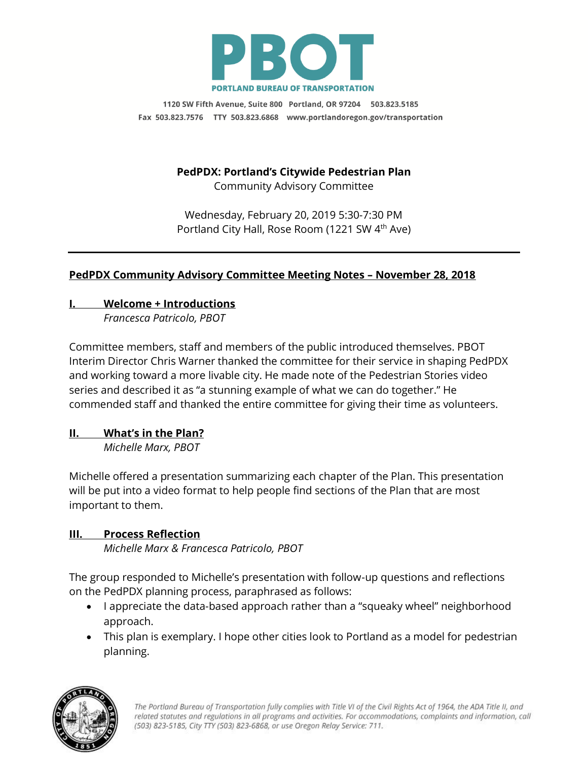

1120 SW Fifth Avenue, Suite 800 Portland, OR 97204 503.823.5185 Fax 503.823.7576 TTY 503.823.6868 www.portlandoregon.gov/transportation

# **PedPDX: Portland's Citywide Pedestrian Plan**

Community Advisory Committee

Wednesday, February 20, 2019 5:30-7:30 PM Portland City Hall, Rose Room (1221 SW 4<sup>th</sup> Ave)

## **PedPDX Community Advisory Committee Meeting Notes – November 28, 2018**

## **I. Welcome + Introductions**

*Francesca Patricolo, PBOT*

Committee members, staff and members of the public introduced themselves. PBOT Interim Director Chris Warner thanked the committee for their service in shaping PedPDX and working toward a more livable city. He made note of the Pedestrian Stories video series and described it as "a stunning example of what we can do together." He commended staff and thanked the entire committee for giving their time as volunteers.

## **II. What's in the Plan?**

*Michelle Marx, PBOT*

Michelle offered a presentation summarizing each chapter of the Plan. This presentation will be put into a video format to help people find sections of the Plan that are most important to them.

## **III. Process Reflection**

*Michelle Marx & Francesca Patricolo, PBOT*

The group responded to Michelle's presentation with follow-up questions and reflections on the PedPDX planning process, paraphrased as follows:

- I appreciate the data-based approach rather than a "squeaky wheel" neighborhood approach.
- This plan is exemplary. I hope other cities look to Portland as a model for pedestrian planning.

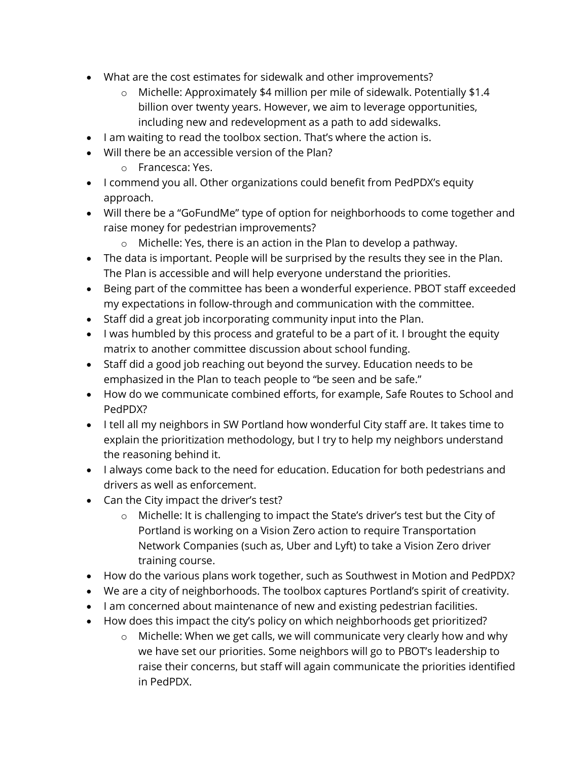- What are the cost estimates for sidewalk and other improvements?
	- o Michelle: Approximately \$4 million per mile of sidewalk. Potentially \$1.4 billion over twenty years. However, we aim to leverage opportunities, including new and redevelopment as a path to add sidewalks.
- I am waiting to read the toolbox section. That's where the action is.
- Will there be an accessible version of the Plan?
	- o Francesca: Yes.
- I commend you all. Other organizations could benefit from PedPDX's equity approach.
- Will there be a "GoFundMe" type of option for neighborhoods to come together and raise money for pedestrian improvements?
	- o Michelle: Yes, there is an action in the Plan to develop a pathway.
- The data is important. People will be surprised by the results they see in the Plan. The Plan is accessible and will help everyone understand the priorities.
- Being part of the committee has been a wonderful experience. PBOT staff exceeded my expectations in follow-through and communication with the committee.
- Staff did a great job incorporating community input into the Plan.
- I was humbled by this process and grateful to be a part of it. I brought the equity matrix to another committee discussion about school funding.
- Staff did a good job reaching out beyond the survey. Education needs to be emphasized in the Plan to teach people to "be seen and be safe."
- How do we communicate combined efforts, for example, Safe Routes to School and PedPDX?
- I tell all my neighbors in SW Portland how wonderful City staff are. It takes time to explain the prioritization methodology, but I try to help my neighbors understand the reasoning behind it.
- I always come back to the need for education. Education for both pedestrians and drivers as well as enforcement.
- Can the City impact the driver's test?
	- o Michelle: It is challenging to impact the State's driver's test but the City of Portland is working on a Vision Zero action to require Transportation Network Companies (such as, Uber and Lyft) to take a Vision Zero driver training course.
- How do the various plans work together, such as Southwest in Motion and PedPDX?
- We are a city of neighborhoods. The toolbox captures Portland's spirit of creativity.
- I am concerned about maintenance of new and existing pedestrian facilities.
- How does this impact the city's policy on which neighborhoods get prioritized?
	- o Michelle: When we get calls, we will communicate very clearly how and why we have set our priorities. Some neighbors will go to PBOT's leadership to raise their concerns, but staff will again communicate the priorities identified in PedPDX.